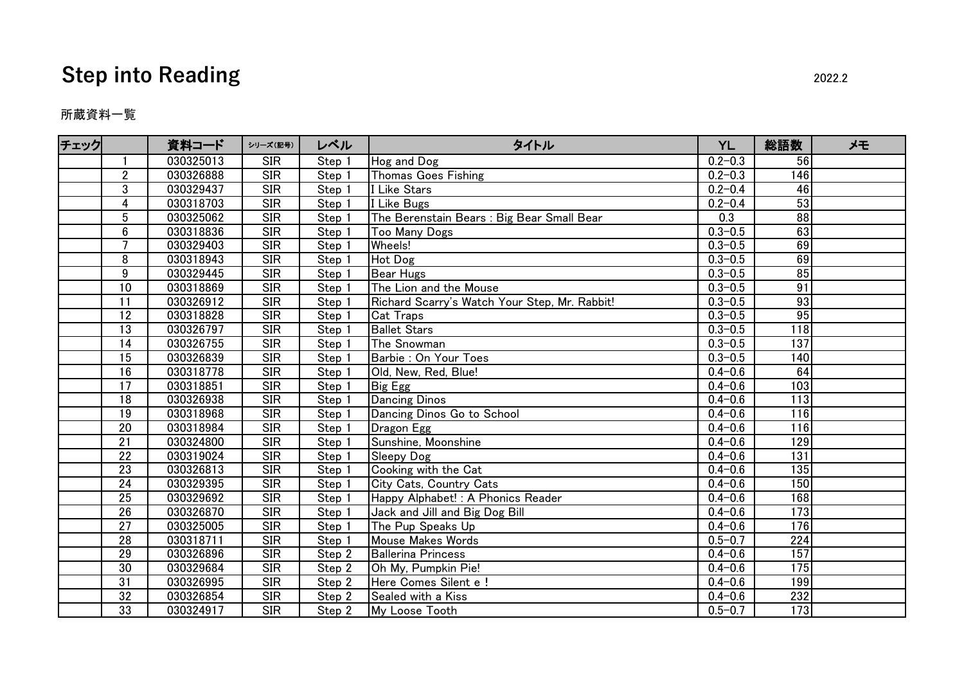## **Step into Reading** 2022.2

所蔵資料一覧

| チェック |                 | 資料コード     | シリーズ(記号)         | レベル               | タイトル                                          | <b>YL</b>   | 総語数              | メモ |
|------|-----------------|-----------|------------------|-------------------|-----------------------------------------------|-------------|------------------|----|
|      |                 | 030325013 | <b>SIR</b>       | Step 1            | Hog and Dog                                   | $0.2 - 0.3$ | 56               |    |
|      | $\overline{2}$  | 030326888 | <b>SIR</b>       | Step 1            | <b>Thomas Goes Fishing</b>                    | $0.2 - 0.3$ | 146              |    |
|      | 3               | 030329437 | <b>SIR</b>       | Step 1            | I Like Stars                                  | $0.2 - 0.4$ | 46               |    |
|      | 4               | 030318703 | SIR              | Step 1            | I Like Bugs                                   | $0.2 - 0.4$ | 53               |    |
|      | $\overline{5}$  | 030325062 | <b>SIR</b>       | Step 1            | The Berenstain Bears : Big Bear Small Bear    | 0.3         | $\overline{88}$  |    |
|      | $6\phantom{.}$  | 030318836 | SIR              | Step 1            | <b>Too Many Dogs</b>                          | $0.3 - 0.5$ | 63               |    |
|      | $\overline{7}$  | 030329403 | $\overline{SIR}$ | Step 1            | Wheels!                                       | $0.3 - 0.5$ | 69               |    |
|      | 8               | 030318943 | <b>SIR</b>       | Step 1            | Hot Dog                                       | $0.3 - 0.5$ | 69               |    |
|      | 9               | 030329445 | SIR              | Step 1            | <b>Bear Hugs</b>                              | $0.3 - 0.5$ | 85               |    |
|      | $\overline{10}$ | 030318869 | SIR              | Step 1            | The Lion and the Mouse                        | $0.3 - 0.5$ | 91               |    |
|      | 11              | 030326912 | <b>SIR</b>       | Step 1            | Richard Scarry's Watch Your Step, Mr. Rabbit! | $0.3 - 0.5$ | 93               |    |
|      | 12              | 030318828 | <b>SIR</b>       | Step 1            | <b>Cat Traps</b>                              | $0.3 - 0.5$ | 95               |    |
|      | $\overline{13}$ | 030326797 | <b>SIR</b>       | Step <sub>1</sub> | <b>Ballet Stars</b>                           | $0.3 - 0.5$ | 118              |    |
|      | 14              | 030326755 | <b>SIR</b>       | Step 1            | The Snowman                                   | $0.3 - 0.5$ | $\overline{137}$ |    |
|      | $\overline{15}$ | 030326839 | $\overline{SIR}$ | Step <sub>1</sub> | Barbie : On Your Toes                         | $0.3 - 0.5$ | 140              |    |
|      | 16              | 030318778 | <b>SIR</b>       | Step 1            | Old, New, Red, Blue!                          | $0.4 - 0.6$ | 64               |    |
|      | $\overline{17}$ | 030318851 | SIR              | Step 1            | Big Egg                                       | $0.4 - 0.6$ | 103              |    |
|      | $\overline{18}$ | 030326938 | $\overline{SIR}$ | Step 1            | <b>Dancing Dinos</b>                          | $0.4 - 0.6$ | $\overline{113}$ |    |
|      | 19              | 030318968 | <b>SIR</b>       | Step 1            | Dancing Dinos Go to School                    | $0.4 - 0.6$ | 116              |    |
|      | 20              | 030318984 | <b>SIR</b>       | Step 1            | Dragon Egg                                    | $0.4 - 0.6$ | 116              |    |
|      | $\overline{21}$ | 030324800 | SIR              | Step 1            | Sunshine, Moonshine                           | $0.4 - 0.6$ | 129              |    |
|      | $\overline{22}$ | 030319024 | SIR              | Step 1            | Sleepy Dog                                    | $0.4 - 0.6$ | 131              |    |
|      | 23              | 030326813 | <b>SIR</b>       | Step 1            | Cooking with the Cat                          | $0.4 - 0.6$ | 135              |    |
|      | 24              | 030329395 | <b>SIR</b>       | Step 1            | City Cats, Country Cats                       | $0.4 - 0.6$ | 150              |    |
|      | $\overline{25}$ | 030329692 | <b>SIR</b>       | Step 1            | Happy Alphabet! : A Phonics Reader            | $0.4 - 0.6$ | 168              |    |
|      | 26              | 030326870 | <b>SIR</b>       | Step 1            | Jack and Jill and Big Dog Bill                | $0.4 - 0.6$ | 173              |    |
|      | $\overline{27}$ | 030325005 | SIR              | Step 1            | The Pup Speaks Up                             | $0.4 - 0.6$ | 176              |    |
|      | 28              | 030318711 | <b>SIR</b>       | Step 1            | <b>Mouse Makes Words</b>                      | $0.5 - 0.7$ | 224              |    |
|      | $\overline{29}$ | 030326896 | SIR              | Step 2            | <b>Ballerina Princess</b>                     | $0.4 - 0.6$ | 157              |    |
|      | 30              | 030329684 | <b>SIR</b>       | Step 2            | Oh My, Pumpkin Pie!                           | $0.4 - 0.6$ | 175              |    |
|      | 31              | 030326995 | <b>SIR</b>       | Step 2            | Here Comes Silent e !                         | $0.4 - 0.6$ | 199              |    |
|      | 32              | 030326854 | <b>SIR</b>       | Step 2            | Sealed with a Kiss                            | $0.4 - 0.6$ | 232              |    |
|      | $\overline{33}$ | 030324917 | $\overline{SIR}$ | Step 2            | My Loose Tooth                                | $0.5 - 0.7$ | 173              |    |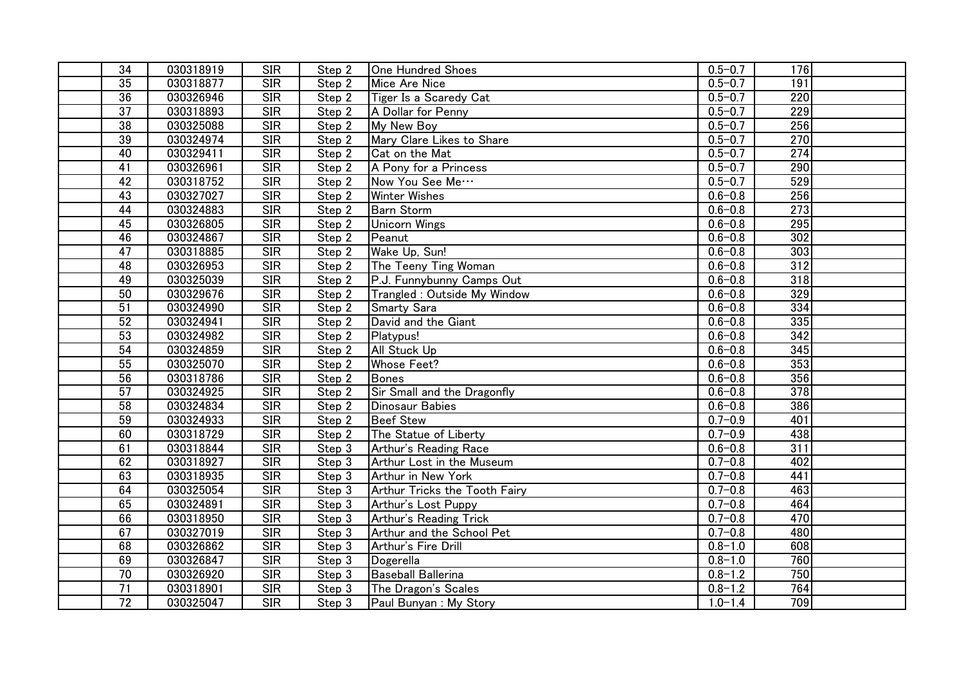| 34              | 030318919 | <b>SIR</b>       | Step 2                        | One Hundred Shoes             | $0.5 - 0.7$ | 176              |  |
|-----------------|-----------|------------------|-------------------------------|-------------------------------|-------------|------------------|--|
| $\overline{35}$ | 030318877 | SIR              | Step 2                        | Mice Are Nice                 | $0.5 - 0.7$ | 191              |  |
| 36              | 030326946 | SIR              | Step 2                        | Tiger Is a Scaredy Cat        | $0.5 - 0.7$ | 220              |  |
| $\overline{37}$ | 030318893 | SIR              | Step 2                        | A Dollar for Penny            | $0.5 - 0.7$ | 229              |  |
| 38              | 030325088 | SIR              | Step 2                        | My New Boy                    | $0.5 - 0.7$ | 256              |  |
| 39              | 030324974 | SIR              | Step 2                        | Mary Clare Likes to Share     | $0.5 - 0.7$ | 270              |  |
| 40              | 030329411 | SIR              | Step 2                        | Cat on the Mat                | $0.5 - 0.7$ | 274              |  |
| $\overline{41}$ | 030326961 | SIR              | Step 2                        | A Pony for a Princess         | $0.5 - 0.7$ | 290              |  |
| 42              | 030318752 | <b>SIR</b>       | Step 2                        | Now You See Me                | $0.5 - 0.7$ | 529              |  |
| 43              | 030327027 | SIR              | Step 2                        | <b>Winter Wishes</b>          | $0.6 - 0.8$ | 256              |  |
| 44              | 030324883 | <b>SIR</b>       | Step 2                        | <b>Barn Storm</b>             | $0.6 - 0.8$ | 273              |  |
| 45              | 030326805 | <b>SIR</b>       | Step 2                        | <b>Unicorn Wings</b>          | $0.6 - 0.8$ | 295              |  |
| 46              | 030324867 | SIR              | $\overline{Step 2}$           | Peanut                        | $0.6 - 0.8$ | 302              |  |
| $\overline{47}$ | 030318885 | SIR              | Step 2                        | Wake Up, Sun!                 | $0.6 - 0.8$ | 303              |  |
| 48              | 030326953 | SIR              | Step 2                        | The Teeny Ting Woman          | $0.6 - 0.8$ | 312              |  |
| 49              | 030325039 | SIR              | Step 2                        | P.J. Funnybunny Camps Out     | $0.6 - 0.8$ | 318              |  |
| 50              | 030329676 | SIR              | Step 2                        | Trangled : Outside My Window  | $0.6 - 0.8$ | 329              |  |
| $\overline{51}$ | 030324990 | SIR              | Step 2                        | Smarty Sara                   | $0.6 - 0.8$ | 334              |  |
| 52              | 030324941 | SIR              | Step 2                        | David and the Giant           | $0.6 - 0.8$ | 335              |  |
| 53              | 030324982 | <b>SIR</b>       | Step 2                        | Platypus!                     | $0.6 - 0.8$ | 342              |  |
| 54              | 030324859 | <b>SIR</b>       | Step 2                        | All Stuck Up                  | $0.6 - 0.8$ | 345              |  |
| 55              | 030325070 | SIR              | Step 2                        | <b>Whose Feet?</b>            | $0.6 - 0.8$ | $\overline{353}$ |  |
| $\overline{56}$ | 030318786 | SIR              | Step 2                        | Bones                         | $0.6 - 0.8$ | 356              |  |
| $\overline{57}$ | 030324925 | SIR              | Step 2                        | Sir Small and the Dragonfly   | $0.6 - 0.8$ | 378              |  |
| 58              | 030324834 | SIR              | Step 2                        | <b>Dinosaur Babies</b>        | $0.6 - 0.8$ | 386              |  |
| 59              | 030324933 | SIR              | Step 2                        | <b>Beef Stew</b>              | $0.7 - 0.9$ | 401              |  |
| 60              | 030318729 | SIR              | Step 2                        | The Statue of Liberty         | $0.7 - 0.9$ | 438              |  |
| 61              | 030318844 | SIR              | Step 3                        | Arthur's Reading Race         | $0.6 - 0.8$ | 311              |  |
| 62              | 030318927 | <b>SIR</b>       | Step 3                        | Arthur Lost in the Museum     | $0.7 - 0.8$ | 402              |  |
| 63              | 030318935 | <b>SIR</b>       | Step 3                        | Arthur in New York            | $0.7 - 0.8$ | 441              |  |
| 64              | 030325054 | <b>SIR</b>       | $\overline{\mathsf{Step}}\;3$ | Arthur Tricks the Tooth Fairy | $0.7 - 0.8$ | 463              |  |
| 65              | 030324891 | <b>SIR</b>       | Step <sub>3</sub>             | Arthur's Lost Puppy           | $0.7 - 0.8$ | 464              |  |
| 66              | 030318950 | <b>SIR</b>       | Step 3                        | Arthur's Reading Trick        | $0.7 - 0.8$ | 470              |  |
| 67              | 030327019 | SIR              | Step 3                        | Arthur and the School Pet     | $0.7 - 0.8$ | 480              |  |
| 68              | 030326862 | <b>SIR</b>       | Step 3                        | Arthur's Fire Drill           | $0.8 - 1.0$ | 608              |  |
| 69              | 030326847 | SIR              | Step 3                        | Dogerella                     | $0.8 - 1.0$ | 760              |  |
| $\overline{70}$ | 030326920 | SIR              | $\overline{Step 3}$           | <b>Baseball Ballerina</b>     | $0.8 - 1.2$ | 750              |  |
| $\overline{71}$ | 030318901 | SIR              | Step 3                        | The Dragon's Scales           | $0.8 - 1.2$ | 764              |  |
| $\overline{72}$ | 030325047 | $\overline{SIR}$ | Step 3                        | Paul Bunyan: My Story         | $1.0 - 1.4$ | 709              |  |